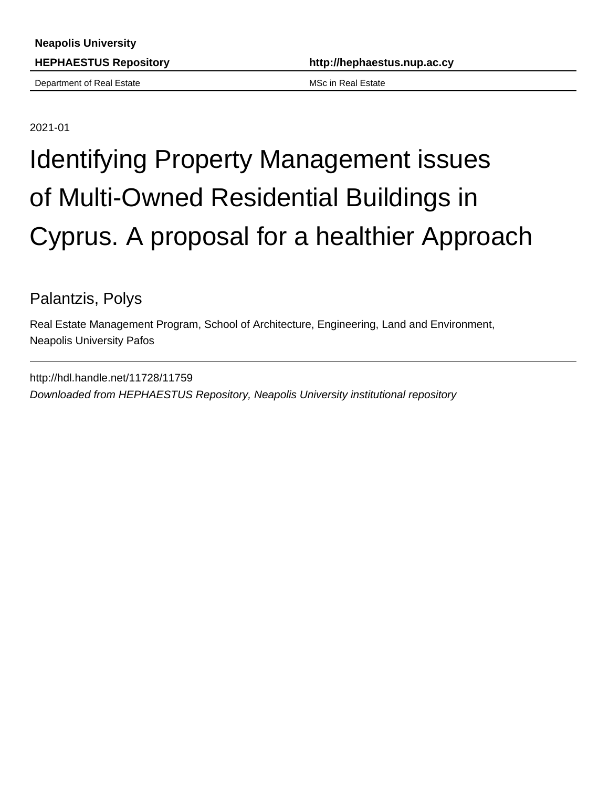Department of Real Estate MSc in Real Estate MSc in Real Estate

**HEPHAESTUS Repository http://hephaestus.nup.ac.cy**

2021-01

## Identifying Property Management issues of Multi-Owned Residential Buildings in Cyprus. A proposal for a healthier Approach

Palantzis, Polys

Real Estate Management Program, School of Architecture, Engineering, Land and Environment, Neapolis University Pafos

http://hdl.handle.net/11728/11759 Downloaded from HEPHAESTUS Repository, Neapolis University institutional repository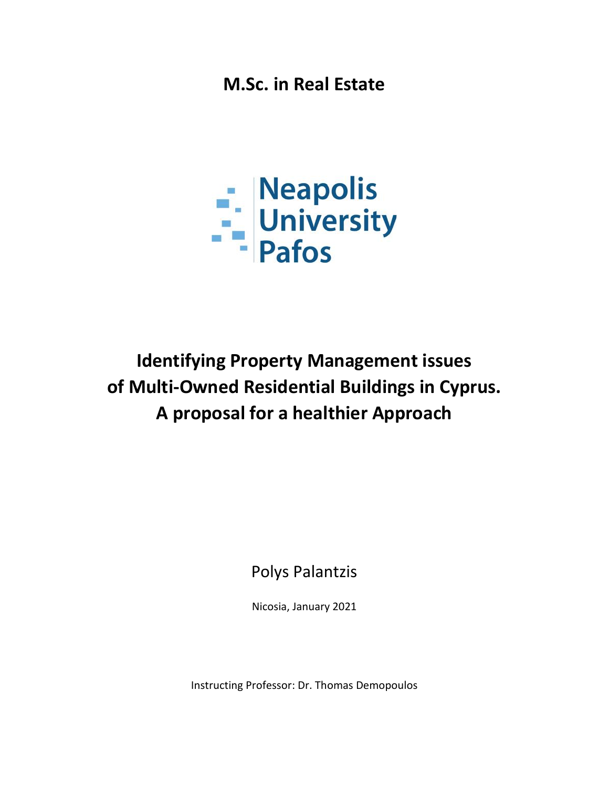**M.Sc. in Real Estate**



## **Identifying Property Management issues of Multi-Owned Residential Buildings in Cyprus. A proposal for a healthier Approach**

Polys Palantzis

Nicosia, January 2021

Instructing Professor: Dr. Thomas Demopoulos